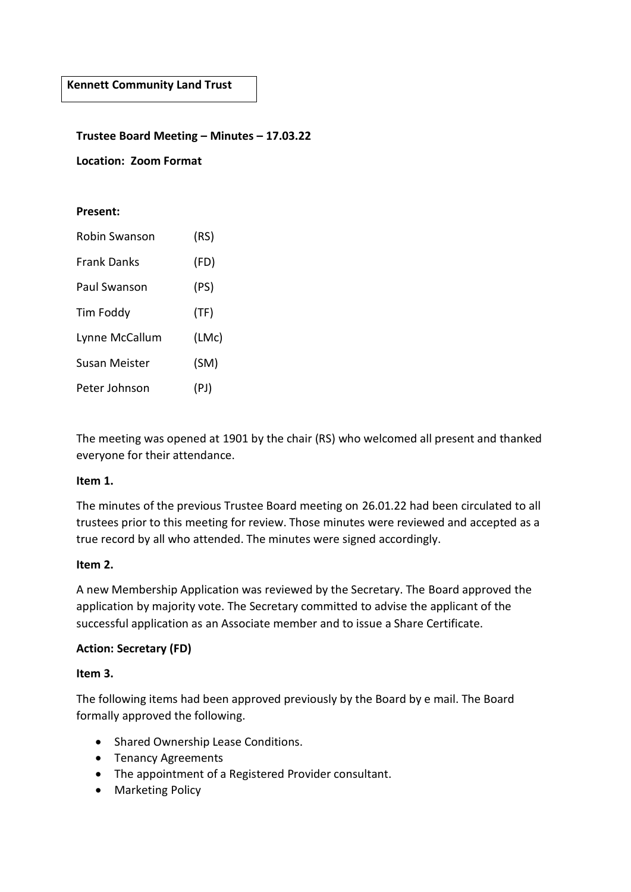#### **Trustee Board Meeting – Minutes – 17.03.22**

**Location: Zoom Format**

#### **Present:**

| Robin Swanson      | (RS)  |
|--------------------|-------|
| <b>Frank Danks</b> | (FD)  |
| Paul Swanson       | (PS)  |
| Tim Foddy          | (TF)  |
| Lynne McCallum     | (LMc) |
| Susan Meister      | (SM)  |
| Peter Johnson      | (PJ)  |

The meeting was opened at 1901 by the chair (RS) who welcomed all present and thanked everyone for their attendance.

#### **Item 1.**

The minutes of the previous Trustee Board meeting on 26.01.22 had been circulated to all trustees prior to this meeting for review. Those minutes were reviewed and accepted as a true record by all who attended. The minutes were signed accordingly.

#### **Item 2.**

A new Membership Application was reviewed by the Secretary. The Board approved the application by majority vote. The Secretary committed to advise the applicant of the successful application as an Associate member and to issue a Share Certificate.

#### **Action: Secretary (FD)**

#### **Item 3.**

The following items had been approved previously by the Board by e mail. The Board formally approved the following.

- Shared Ownership Lease Conditions.
- Tenancy Agreements
- The appointment of a Registered Provider consultant.
- Marketing Policy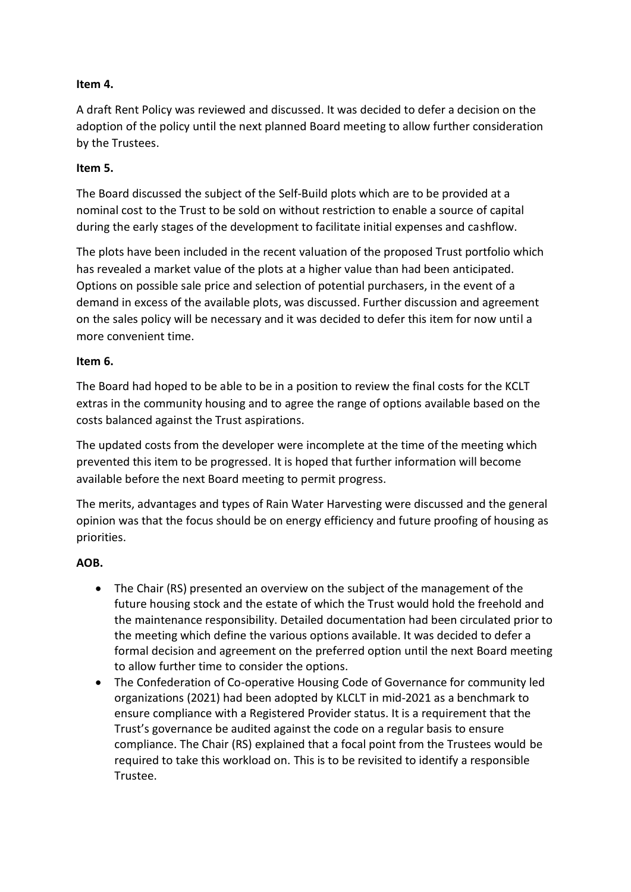## **Item 4.**

A draft Rent Policy was reviewed and discussed. It was decided to defer a decision on the adoption of the policy until the next planned Board meeting to allow further consideration by the Trustees.

## **Item 5.**

The Board discussed the subject of the Self-Build plots which are to be provided at a nominal cost to the Trust to be sold on without restriction to enable a source of capital during the early stages of the development to facilitate initial expenses and cashflow.

The plots have been included in the recent valuation of the proposed Trust portfolio which has revealed a market value of the plots at a higher value than had been anticipated. Options on possible sale price and selection of potential purchasers, in the event of a demand in excess of the available plots, was discussed. Further discussion and agreement on the sales policy will be necessary and it was decided to defer this item for now until a more convenient time.

### **Item 6.**

The Board had hoped to be able to be in a position to review the final costs for the KCLT extras in the community housing and to agree the range of options available based on the costs balanced against the Trust aspirations.

The updated costs from the developer were incomplete at the time of the meeting which prevented this item to be progressed. It is hoped that further information will become available before the next Board meeting to permit progress.

The merits, advantages and types of Rain Water Harvesting were discussed and the general opinion was that the focus should be on energy efficiency and future proofing of housing as priorities.

# **AOB.**

- The Chair (RS) presented an overview on the subject of the management of the future housing stock and the estate of which the Trust would hold the freehold and the maintenance responsibility. Detailed documentation had been circulated prior to the meeting which define the various options available. It was decided to defer a formal decision and agreement on the preferred option until the next Board meeting to allow further time to consider the options.
- The Confederation of Co-operative Housing Code of Governance for community led organizations (2021) had been adopted by KLCLT in mid-2021 as a benchmark to ensure compliance with a Registered Provider status. It is a requirement that the Trust's governance be audited against the code on a regular basis to ensure compliance. The Chair (RS) explained that a focal point from the Trustees would be required to take this workload on. This is to be revisited to identify a responsible Trustee.